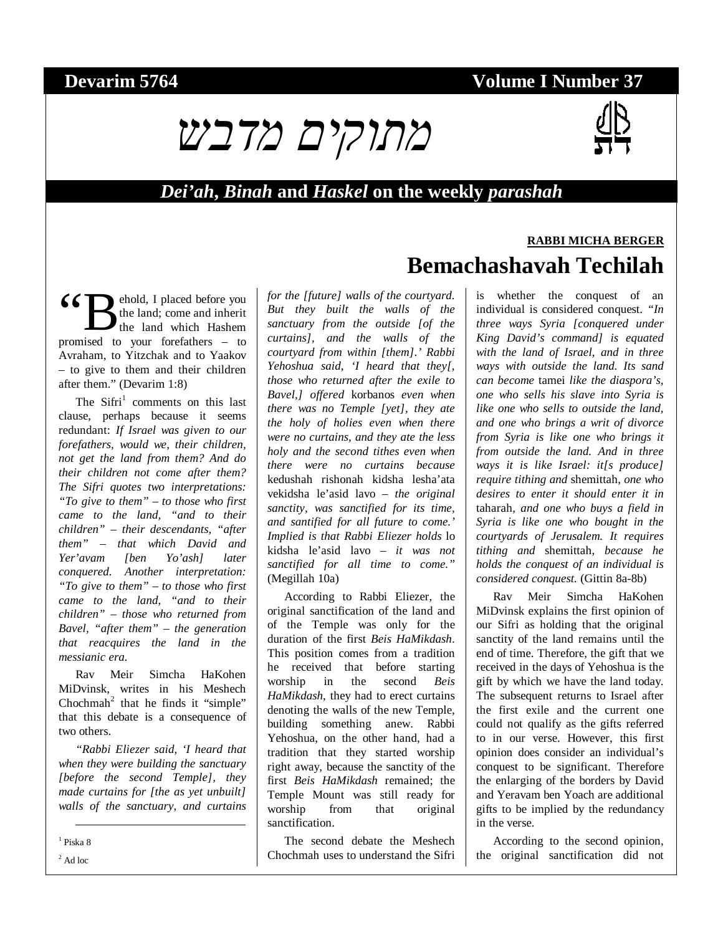## **Devarim 5764** Volume I Number 37



#### *Dei'ah***,** *Binah* **and** *Haskel* **on the weekly** *parashah*

ehold, I placed before you the land; come and inherit the land which Hashem 66 B ehold, I placed before you the land; come and inherit the land which Hashem promised to your forefathers – to Avraham, to Yitzchak and to Yaakov – to give to them and their children after them." (Devarim 1:8)

The Sifri<sup>1</sup> comments on this last clause, perhaps because it seems redundant: *If Israel was given to our forefathers, would we, their children, not get the land from them? And do their children not come after them? The Sifri quotes two interpretations: "To give to them" – to those who first came to the land, "and to their children" – their descendants, "after them" – that which David and Yer'avam [ben Yo'ash] later conquered. Another interpretation: "To give to them" – to those who first came to the land, "and to their children" – those who returned from Bavel, "after them" – the generation that reacquires the land in the messianic era.*

Rav Meir Simcha HaKohen MiDvinsk, writes in his Meshech Chochmah<sup>2</sup> that he finds it "simple" that this debate is a consequence of two others.

*"Rabbi Eliezer said, 'I heard that when they were building the sanctuary [before the second Temple], they made curtains for [the as yet unbuilt] walls of the sanctuary, and curtains* 

-1 Piska 8

 $2$  Ad loc

*for the [future] walls of the courtyard. But they built the walls of the sanctuary from the outside [of the curtains], and the walls of the courtyard from within [them].' Rabbi Yehoshua said, 'I heard that they[, those who returned after the exile to Bavel,] offered* korbanos *even when there was no Temple [yet], they ate the holy of holies even when there were no curtains, and they ate the less holy and the second tithes even when there were no curtains because*  kedushah rishonah kidsha lesha'ata vekidsha le'asid lavo – *the original sanctity, was sanctified for its time, and santified for all future to come.' Implied is that Rabbi Eliezer holds* lo kidsha le'asid lavo *– it was not sanctified for all time to come."*  (Megillah 10a)

According to Rabbi Eliezer, the original sanctification of the land and of the Temple was only for the duration of the first *Beis HaMikdash*. This position comes from a tradition he received that before starting worship in the second *Beis HaMikdash*, they had to erect curtains denoting the walls of the new Temple, building something anew. Rabbi Yehoshua, on the other hand, had a tradition that they started worship right away, because the sanctity of the first *Beis HaMikdash* remained; the Temple Mount was still ready for worship from that original sanctification.

The second debate the Meshech Chochmah uses to understand the Sifri

# **RABBI MICHA BERGER Bemachashavah Techilah**

is whether the conquest of an individual is considered conquest. *"In three ways Syria [conquered under King David's command] is equated with the land of Israel, and in three ways with outside the land. Its sand can become* tamei *like the diaspora's, one who sells his slave into Syria is like one who sells to outside the land, and one who brings a writ of divorce from Syria is like one who brings it from outside the land. And in three ways it is like Israel: it[s produce] require tithing and* shemittah*, one who desires to enter it should enter it in*  taharah*, and one who buys a field in Syria is like one who bought in the courtyards of Jerusalem. It requires tithing and* shemittah*, because he holds the conquest of an individual is considered conquest.* (Gittin 8a-8b)

Rav Meir Simcha HaKohen MiDvinsk explains the first opinion of our Sifri as holding that the original sanctity of the land remains until the end of time. Therefore, the gift that we received in the days of Yehoshua is the gift by which we have the land today. The subsequent returns to Israel after the first exile and the current one could not qualify as the gifts referred to in our verse. However, this first opinion does consider an individual's conquest to be significant. Therefore the enlarging of the borders by David and Yeravam ben Yoach are additional gifts to be implied by the redundancy in the verse.

According to the second opinion, the original sanctification did not

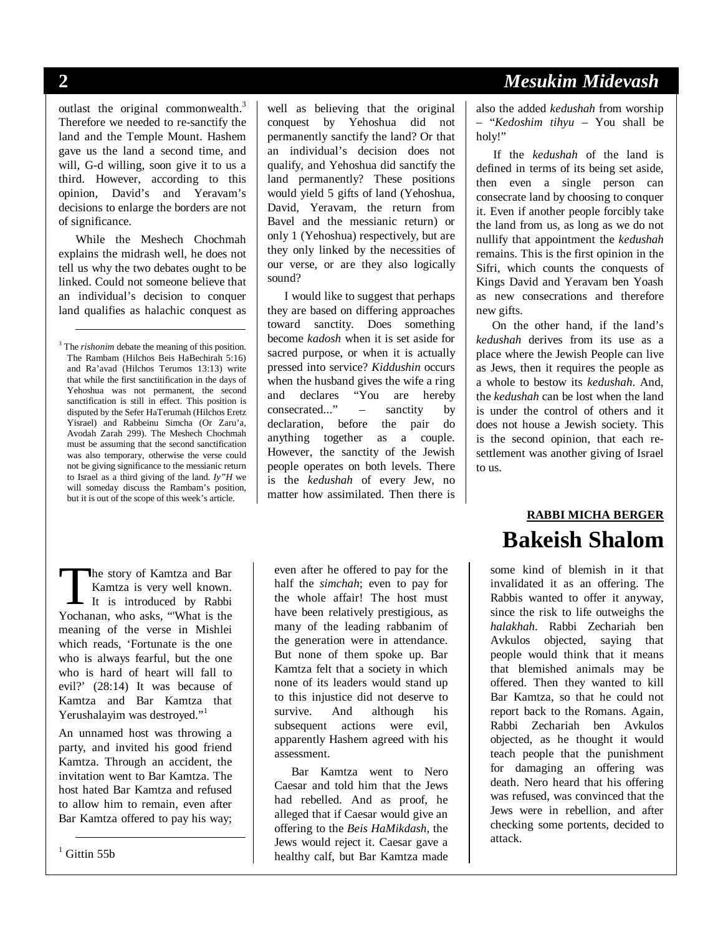-

#### outlast the original commonwealth.<sup>3</sup> Therefore we needed to re-sanctify the land and the Temple Mount. Hashem gave us the land a second time, and will, G-d willing, soon give it to us a third. However, according to this opinion, David's and Yeravam's decisions to enlarge the borders are not of significance.

While the Meshech Chochmah explains the midrash well, he does not tell us why the two debates ought to be linked. Could not someone believe that an individual's decision to conquer land qualifies as halachic conquest as

<sup>3</sup> The *rishonim* debate the meaning of this position. The Rambam (Hilchos Beis HaBechirah 5:16) and Ra'avad (Hilchos Terumos 13:13) write that while the first sanctitification in the days of Yehoshua was not permanent, the second sanctification is still in effect. This position is disputed by the Sefer HaTerumah (Hilchos Eretz Yisrael) and Rabbeinu Simcha (Or Zaru'a, Avodah Zarah 299). The Meshech Chochmah must be assuming that the second sanctification was also temporary, otherwise the verse could not be giving significance to the messianic return to Israel as a third giving of the land. *Iy"H* we will someday discuss the Rambam's position, but it is out of the scope of this week's article.

he story of Kamtza and Bar Kamtza is very well known. The story of Kamtza and Bar<br>
It is introduced by Rabbi<br>
Yochanan who asks "What is the Yochanan, who asks, "'What is the meaning of the verse in Mishlei which reads, 'Fortunate is the one who is always fearful, but the one who is hard of heart will fall to evil?' (28:14) It was because of Kamtza and Bar Kamtza that Yerushalayim was destroyed."<sup>1</sup>

An unnamed host was throwing a party, and invited his good friend Kamtza. Through an accident, the invitation went to Bar Kamtza. The host hated Bar Kamtza and refused to allow him to remain, even after Bar Kamtza offered to pay his way;

 $<sup>1</sup>$  Gittin 55b</sup>

-

well as believing that the original conquest by Yehoshua did not permanently sanctify the land? Or that an individual's decision does not qualify, and Yehoshua did sanctify the land permanently? These positions would yield 5 gifts of land (Yehoshua, David, Yeravam, the return from Bavel and the messianic return) or only 1 (Yehoshua) respectively, but are they only linked by the necessities of our verse, or are they also logically sound?

I would like to suggest that perhaps they are based on differing approaches toward sanctity. Does something become *kadosh* when it is set aside for sacred purpose, or when it is actually pressed into service? *Kiddushin* occurs when the husband gives the wife a ring and declares "You are hereby consecrated..." – sanctity by declaration, before the pair do anything together as a couple. However, the sanctity of the Jewish people operates on both levels. There is the *kedushah* of every Jew, no matter how assimilated. Then there is

even after he offered to pay for the half the *simchah*; even to pay for the whole affair! The host must have been relatively prestigious, as many of the leading rabbanim of the generation were in attendance. But none of them spoke up. Bar Kamtza felt that a society in which none of its leaders would stand up to this injustice did not deserve to survive. And although his subsequent actions were evil, apparently Hashem agreed with his assessment.

Bar Kamtza went to Nero Caesar and told him that the Jews had rebelled. And as proof, he alleged that if Caesar would give an offering to the *Beis HaMikdash*, the Jews would reject it. Caesar gave a healthy calf, but Bar Kamtza made

#### **2** *Mesukim Midevash*

also the added *kedushah* from worship – "*Kedoshim tihyu –* You shall be holy!"

If the *kedushah* of the land is defined in terms of its being set aside, then even a single person can consecrate land by choosing to conquer it. Even if another people forcibly take the land from us, as long as we do not nullify that appointment the *kedushah*  remains. This is the first opinion in the Sifri, which counts the conquests of Kings David and Yeravam ben Yoash as new consecrations and therefore new gifts.

On the other hand, if the land's *kedushah* derives from its use as a place where the Jewish People can live as Jews, then it requires the people as a whole to bestow its *kedushah*. And, the *kedushah* can be lost when the land is under the control of others and it does not house a Jewish society. This is the second opinion, that each resettlement was another giving of Israel to us.

# **RABBI MICHA BERGER Bakeish Shalom**

some kind of blemish in it that invalidated it as an offering. The Rabbis wanted to offer it anyway, since the risk to life outweighs the *halakhah*. Rabbi Zechariah ben Avkulos objected, saying that people would think that it means that blemished animals may be offered. Then they wanted to kill Bar Kamtza, so that he could not report back to the Romans. Again, Rabbi Zechariah ben Avkulos objected, as he thought it would teach people that the punishment for damaging an offering was death. Nero heard that his offering was refused, was convinced that the Jews were in rebellion, and after checking some portents, decided to attack.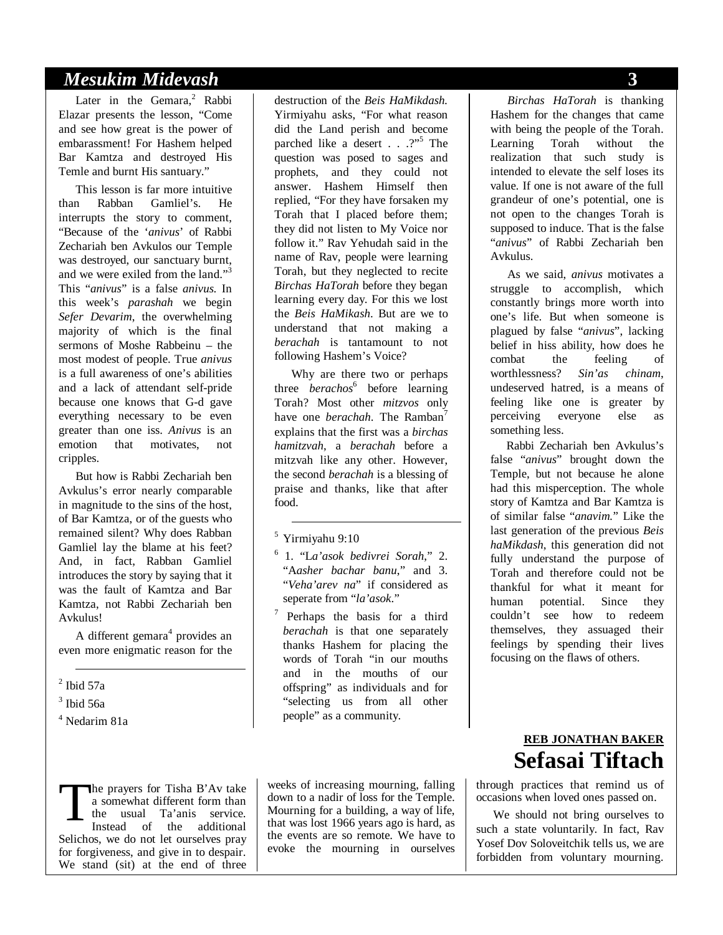#### *Mesukim Midevash* **3**

Later in the Gemara,<sup>2</sup> Rabbi Elazar presents the lesson, "Come and see how great is the power of embarassment! For Hashem helped Bar Kamtza and destroyed His Temle and burnt His santuary."

This lesson is far more intuitive than Rabban Gamliel's. He interrupts the story to comment, "Because of the '*anivus*' of Rabbi Zechariah ben Avkulos our Temple was destroyed, our sanctuary burnt, and we were exiled from the land."<sup>3</sup> This "*anivus*" is a false *anivus.* In this week's *parashah* we begin *Sefer Devarim*, the overwhelming majority of which is the final sermons of Moshe Rabbeinu – the most modest of people. True *anivus*  is a full awareness of one's abilities and a lack of attendant self-pride because one knows that G-d gave everything necessary to be even greater than one iss. *Anivus* is an emotion that motivates, not cripples.

But how is Rabbi Zechariah ben Avkulus's error nearly comparable in magnitude to the sins of the host, of Bar Kamtza, or of the guests who remained silent? Why does Rabban Gamliel lay the blame at his feet? And, in fact, Rabban Gamliel introduces the story by saying that it was the fault of Kamtza and Bar Kamtza, not Rabbi Zechariah ben Avkulus!

A different gemara<sup>4</sup> provides an even more enigmatic reason for the

- $<sup>2</sup>$  Ibid 57a</sup>

3 Ibid 56a

4 Nedarim 81a

destruction of the *Beis HaMikdash.*  Yirmiyahu asks, "For what reason did the Land perish and become parched like a desert . . .?"<sup>5</sup> The question was posed to sages and prophets, and they could not answer. Hashem Himself then replied, "For they have forsaken my Torah that I placed before them; they did not listen to My Voice nor follow it." Rav Yehudah said in the name of Rav, people were learning Torah, but they neglected to recite *Birchas HaTorah* before they began learning every day. For this we lost the *Beis HaMikash*. But are we to understand that not making a *berachah* is tantamount to not following Hashem's Voice?

Why are there two or perhaps three *berachos*<sup>6</sup> before learning Torah? Most other *mitzvos* only have one *berachah*. The Ramban<sup>7</sup> explains that the first was a *birchas hamitzvah*, a *berachah* before a mitzvah like any other. However, the second *berachah* is a blessing of praise and thanks, like that after food.

5 Yirmiyahu 9:10

-

- 6 1. "L*a'asok bedivrei Sorah*," 2. "A*asher bachar banu*," and 3. "*Veha'arev na*" if considered as seperate from "*la'asok*."
- <sup>7</sup> Perhaps the basis for a third *berachah* is that one separately thanks Hashem for placing the words of Torah "in our mouths and in the mouths of our offspring" as individuals and for "selecting us from all other people" as a community.

he prayers for Tisha B'Av take a somewhat different form than the usual Ta'anis service. Instead of the additional Selichos, we do not let ourselves pray for forgiveness, and give in to despair. We stand (sit) at the end of three T

weeks of increasing mourning, falling down to a nadir of loss for the Temple. Mourning for a building, a way of life, that was lost 1966 years ago is hard, as the events are so remote. We have to evoke the mourning in ourselves

*Birchas HaTorah* is thanking Hashem for the changes that came with being the people of the Torah. Learning Torah without the realization that such study is intended to elevate the self loses its value. If one is not aware of the full grandeur of one's potential, one is not open to the changes Torah is supposed to induce. That is the false "*anivus*" of Rabbi Zechariah ben Avkulus.

As we said, *anivus* motivates a struggle to accomplish, which constantly brings more worth into one's life. But when someone is plagued by false "*anivus*", lacking belief in hiss ability, how does he combat the feeling of worthlessness? *Sin'as chinam*, undeserved hatred, is a means of feeling like one is greater by perceiving everyone else as something less.

Rabbi Zechariah ben Avkulus's false "*anivus*" brought down the Temple, but not because he alone had this misperception. The whole story of Kamtza and Bar Kamtza is of similar false "*anavim.*" Like the last generation of the previous *Beis haMikdash*, this generation did not fully understand the purpose of Torah and therefore could not be thankful for what it meant for human potential. Since they couldn't see how to redeem themselves, they assuaged their feelings by spending their lives focusing on the flaws of others.

### **REB JONATHAN BAKER Sefasai Tiftach**

through practices that remind us of occasions when loved ones passed on.

We should not bring ourselves to such a state voluntarily. In fact, Rav Yosef Dov Soloveitchik tells us, we are forbidden from voluntary mourning.